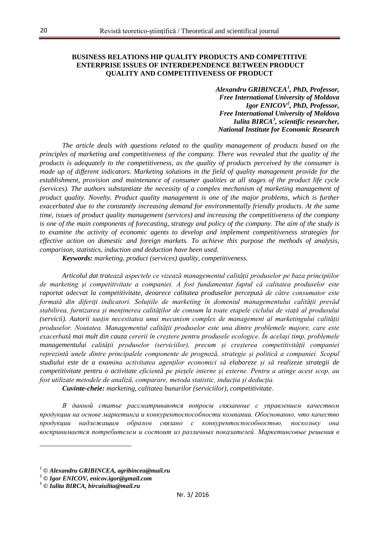## **BUSINESS RELATIONS HIP QUALITY PRODUCTS AND COMPETITIVE ENTERPRISE ISSUES OF INTERDEPENDENCE BETWEEN PRODUCT QUALITY AND COMPETITIVENESS OF PRODUCT**

*Alexandru GRIBINCEA[1](#page-0-0) , PhD, Professor, Free International University of Moldova Igor ENICOV[2](#page-0-1) , PhD, Professor, Free International University of Moldova Iulita BIRCA[3](#page-0-2) , scientific researcher, National Institute for Economic Research*

*The article deals with questions related to the quality management of products based on the principles of marketing and competitiveness of the company. There was revealed that the quality of the products is adequately to the competitiveness, as the quality of products perceived by the consumer is made up of different indicators. Marketing solutions in the field of quality management provide for the establishment, provision and maintenance of consumer qualities at all stages of the product life cycle (services). The authors substantiate the necessity of a complex mechanism of marketing management of product quality. Novelty. Product quality management is one of the major problems, which is further exacerbated due to the constantly increasing demand for environmentally friendly products. At the same time, issues of product quality management (services) and increasing the competitiveness of the company is one of the main components of forecasting, strategy and policy of the company. The aim of the study is to examine the activity of economic agents to develop and implement competitiveness strategies for effective action on domestic and foreign markets. To achieve this purpose the methods of analysis, comparison, statistics, induction and deduction have been used.*

*Keywords: marketing, product (services) quality, competitiveness.*

*Articolul dat tratează aspectele ce vizează managementul calității produselor pe baza principiilor de marketing și competitivitate a companiei. A fost fundamentat faptul că calitatea produselor este raportat adecvat la competitivitate, deoarece calitatea produselor percepută de către consumator este formată din diferiți indicatori. Soluțiile de marketing în domeniul managementului calității prevăd stabilirea, furnizarea și menținerea calităților de consum la toate etapele ciclului de viață al produsului (servicii). Autorii susțin necesitatea unui mecanism complex de management al marketingului calității produselor. Noutatea. Managementul calității produselor este una dintre problemele majore, care este exacerbată mai mult din cauza cererii în creștere pentru produsele ecologice. În același timp, problemele managementului calității produselor (serviciilor), precum și creșterea competitivității companiei reprezintă unele dintre principalele componente de prognoză, strategie și politică a companiei. Scopul studiului este de a examina activitatea agenților economici să elaboreze și să realizeze strategii de competitivitate pentru o activitate eficientă pe piețele interne și externe. Pentru a atinge acest scop, au fost utilizate metodele de analiză, comparare, metoda statistic, inducția și deducția.*

*Cuvinte-cheie: marketing, calitatea bunurilor (serviciilor), competitivitate.*

*В данной статье рассматриваются вопросы связанные с управлением качеством продукции на основе маркетинга и конкурентоспособности компании. Обоснованно, что качество продукции надлежащим образом связано с конкурентоспособностью, поскольку она воспринимается потребителем и состоит из различных показателей. Маркетинговые решения в* 

l

<sup>1</sup> *© Alexandru GRIBINCEA, agribincea@mail.ru*

<span id="page-0-1"></span><span id="page-0-0"></span><sup>2</sup> *© Igor ENICOV, enicov.igor@gmail.com* <sup>3</sup> *© Iulita BIRCA, bircaiulita@mail.ru*

<span id="page-0-2"></span>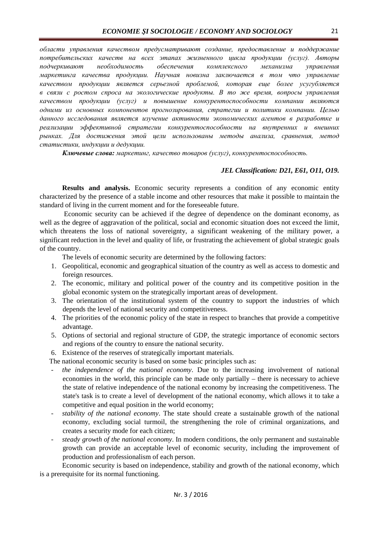*области управления качеством предусматривают создание, предоставление и поддержание потребительских качеств на всех этапах жизненного цикла продукции (услуг). Авторы подчеркивают необходимость обеспечения комплексного механизма управления маркетинга качества продукции. Научная новизна заключается в том что управление качеством продукции является серьезной проблемой, которая еще более усугубляется в связи с ростом спроса на экологические продукты. В то же время, вопросы управления качеством продукции (услуг) и повышение конкурентоспособности компании являются одними из основных компонентов прогнозирования, стратегии и политики компании. Целью данного исследования является изучение активности экономических агентов в разработке и реализации эффективной стратегии конкурентоспособности на внутренних и внешних рынках. Для достижения этой цели использованы методы анализа, сравнения, метод статистики, индукции и дедукции.*

*Ключевые слова: маркетинг, качество товаров (услуг), конкурентоспособность.*

### *JEL Classification: D21, E61, O11, O19.*

**Results and analysis.** Economic security represents a condition of any economic entity characterized by the presence of a stable income and other resources that make it possible to maintain the standard of living in the current moment and for the foreseeable future.

Economic security can be achieved if the degree of dependence on the dominant economy, as well as the degree of aggravation of the political, social and economic situation does not exceed the limit, which threatens the loss of national sovereignty, a significant weakening of the military power, a significant reduction in the level and quality of life, or frustrating the achievement of global strategic goals of the country.

The levels of economic security are determined by the following factors:

- 1. Geopolitical, economic and geographical situation of the country as well as access to domestic and foreign resources.
- 2. The economic, military and political power of the country and its competitive position in the global economic system on the strategically important areas of development.
- 3. The orientation of the institutional system of the country to support the industries of which depends the level of national security and competitiveness.
- 4. The priorities of the economic policy of the state in respect to branches that provide a competitive advantage.
- 5. Options of sectorial and regional structure of GDP, the strategic importance of economic sectors and regions of the country to ensure the national security.
- 6. Existence of the reserves of strategically important materials.

The national economic security is based on some basic principles such as:

- the independence of the national economy. Due to the increasing involvement of national economies in the world, this principle can be made only partially – there is necessary to achieve the state of relative independence of the national economy by increasing the competitiveness. The state's task is to create a level of development of the national economy, which allows it to take a competitive and equal position in the world economy;
- stability of the national economy. The state should create a sustainable growth of the national economy, excluding social turmoil, the strengthening the role of criminal organizations, and creates a security mode for each citizen;
- *steady growth of the national economy*. In modern conditions, the only permanent and sustainable growth can provide an acceptable level of economic security, including the improvement of production and professionalism of each person.

Economic security is based on independence, stability and growth of the national economy, which is a prerequisite for its normal functioning.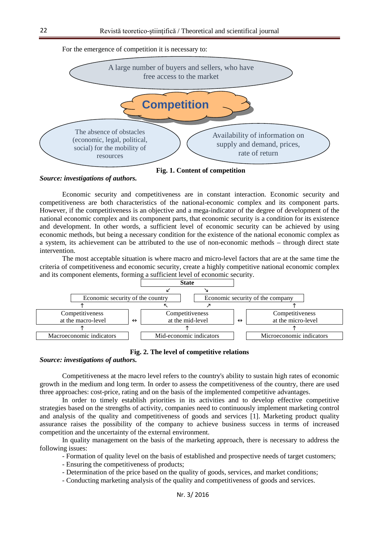

**Fig. 1. Content of competition**

*Source: investigations of authors.*

Economic security and competitiveness are in constant interaction. Economic security and competitiveness are both characteristics of the national-economic complex and its component parts. However, if the competitiveness is an objective and a mega-indicator of the degree of development of the national economic complex and its component parts, that economic security is a condition for its existence and development. In other words, a sufficient level of economic security can be achieved by using economic methods, but being a necessary condition for the existence of the national economic complex as a system, its achievement can be attributed to the use of non-economic methods – through direct state intervention.

The most acceptable situation is where macro and micro-level factors that are at the same time the criteria of competitiveness and economic security, create a highly competitive national economic complex and its component elements, forming a sufficient level of economic security.



## **Fig. 2. The level of competitive relations**

#### *Source: investigations of authors.*

Competitiveness at the macro level refers to the country's ability to sustain high rates of economic growth in the medium and long term. In order to assess the competitiveness of the country, there are used three approaches: cost-price, rating and on the basis of the implemented competitive advantages.

In order to timely establish priorities in its activities and to develop effective competitive strategies based on the strengths of activity, companies need to continuously implement marketing control and analysis of the quality and competitiveness of goods and services [1]. Marketing product quality assurance raises the possibility of the company to achieve business success in terms of increased competition and the uncertainty of the external environment.

In quality management on the basis of the marketing approach, there is necessary to address the following issues:

- Formation of quality level on the basis of established and prospective needs of target customers;

- Ensuring the competitiveness of products;

- Determination of the price based on the quality of goods, services, and market conditions;

- Conducting marketing analysis of the quality and competitiveness of goods and services.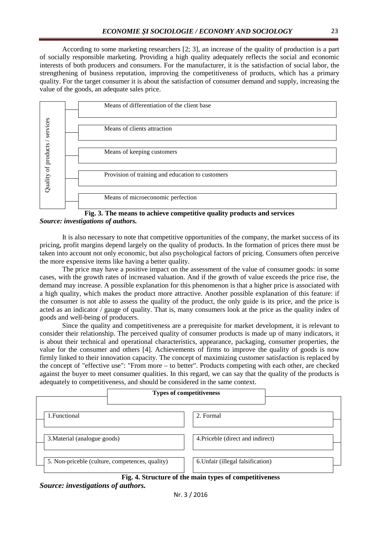According to some marketing researchers [2; 3], an increase of the quality of production is a part of socially responsible marketing. Providing a high quality adequately reflects the social and economic interests of both producers and consumers. For the manufacturer, it is the satisfaction of social labor, the strengthening of business reputation, improving the competitiveness of products, which has a primary quality. For the target consumer it is about the satisfaction of consumer demand and supply, increasing the value of the goods, an adequate sales price.





It is also necessary to note that competitive opportunities of the company, the market success of its pricing, profit margins depend largely on the quality of products. In the formation of prices there must be taken into account not only economic, but also psychological factors of pricing. Consumers often perceive the more expensive items like having a better quality.

The price may have a positive impact on the assessment of the value of consumer goods: in some cases, with the growth rates of increased valuation. And if the growth of value exceeds the price rise, the demand may increase. A possible explanation for this phenomenon is that a higher price is associated with a high quality, which makes the product more attractive. Another possible explanation of this feature: if the consumer is not able to assess the quality of the product, the only guide is its price, and the price is acted as an indicator / gauge of quality. That is, many consumers look at the price as the quality index of goods and well-being of producers.

Since the quality and competitiveness are a prerequisite for market development, it is relevant to consider their relationship. The perceived quality of consumer products is made up of many indicators, it is about their technical and operational characteristics, appearance, packaging, consumer properties, the value for the consumer and others [4]. Achievements of firms to improve the quality of goods is now firmly linked to their innovation capacity. The concept of maximizing customer satisfaction is replaced by the concept of "effective use": "From more – to better". Products competing with each other, are checked against the buyer to meet consumer qualities. In this regard, we can say that the quality of the products is adequately to competitiveness, and should be considered in the same context.

|                                                 | <b>Types of competitiveness</b>   |  |
|-------------------------------------------------|-----------------------------------|--|
| 1. Functional                                   | 2. Formal                         |  |
| 3. Material (analogue goods)                    | 4. Priceble (direct and indirect) |  |
| 5. Non-priceble (culture, competences, quality) | 6. Unfair (illegal falsification) |  |

**Fig. 4. Structure of the main types of competitiveness** *Source: investigations of authors.*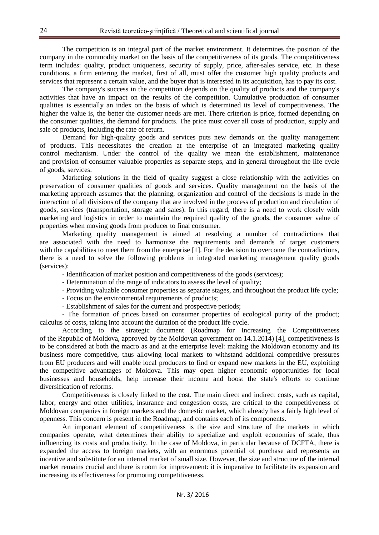The competition is an integral part of the market environment. It determines the position of the company in the commodity market on the basis of the competitiveness of its goods. The competitiveness term includes: quality, product uniqueness, security of supply, price, after-sales service, etc. In these conditions, a firm entering the market, first of all, must offer the customer high quality products and services that represent a certain value, and the buyer that is interested in its acquisition, has to pay its cost.

The company's success in the competition depends on the quality of products and the company's activities that have an impact on the results of the competition. Cumulative production of consumer qualities is essentially an index on the basis of which is determined its level of competitiveness. The higher the value is, the better the customer needs are met. There criterion is price, formed depending on the consumer qualities, the demand for products. The price must cover all costs of production, supply and sale of products, including the rate of return.

Demand for high-quality goods and services puts new demands on the quality management of products. This necessitates the creation at the enterprise of an integrated marketing quality control mechanism. Under the control of the quality we mean the establishment, maintenance and provision of consumer valuable properties as separate steps, and in general throughout the life cycle of goods, services.

Marketing solutions in the field of quality suggest a close relationship with the activities on preservation of consumer qualities of goods and services. Quality management on the basis of the marketing approach assumes that the planning, organization and control of the decisions is made in the interaction of all divisions of the company that are involved in the process of production and circulation of goods, services (transportation, storage and sales). In this regard, there is a need to work closely with marketing and logistics in order to maintain the required quality of the goods, the consumer value of properties when moving goods from producer to final consumer.

Marketing quality management is aimed at resolving a number of contradictions that are associated with the need to harmonize the requirements and demands of target customers with the capabilities to meet them from the enterprise [1]. For the decision to overcome the contradictions, there is a need to solve the following problems in integrated marketing management quality goods (services):

- Identification of market position and competitiveness of the goods (services);

- Determination of the range of indicators to assess the level of quality;

- Providing valuable consumer properties as separate stages, and throughout the product life cycle;

- Focus on the environmental requirements of products;

- Establishment of sales for the current and prospective periods;

- The formation of prices based on consumer properties of ecological purity of the product; calculus of costs, taking into account the duration of the product life cycle.

According to the strategic document (Roadmap for Increasing the Competitiveness of the Republic of Moldova, approved by the Moldovan government on 14.1.2014) [4], competitiveness is to be considered at both the macro as and at the enterprise level: making the Moldovan economy and its business more competitive, thus allowing local markets to withstand additional competitive pressures from EU producers and will enable local producers to find or expand new markets in the EU, exploiting the competitive advantages of Moldova. This may open higher economic opportunities for local businesses and households, help increase their income and boost the state's efforts to continue diversification of reforms.

Competitiveness is closely linked to the cost. The main direct and indirect costs, such as capital, labor, energy and other utilities, insurance and congestion costs, are critical to the competitiveness of Moldovan companies in foreign markets and the domestic market, which already has a fairly high level of openness. This concern is present in the Roadmap, and contains each of its components.

An important element of competitiveness is the size and structure of the markets in which companies operate, what determines their ability to specialize and exploit economies of scale, thus influencing its costs and productivity. In the case of Moldova, in particular because of DCFTA, there is expanded the access to foreign markets, with an enormous potential of purchase and represents an incentive and substitute for an internal market of small size. However, the size and structure of the internal market remains crucial and there is room for improvement: it is imperative to facilitate its expansion and increasing its effectiveness for promoting competitiveness.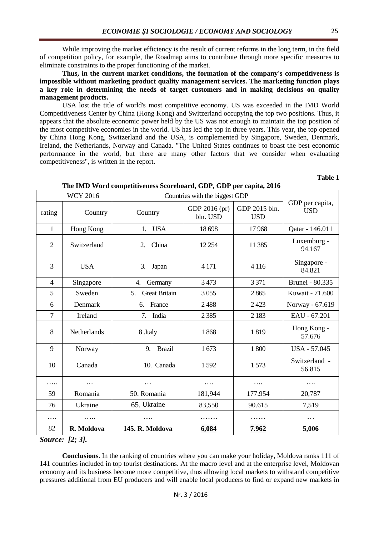While improving the market efficiency is the result of current reforms in the long term, in the field of competition policy, for example, the Roadmap aims to contribute through more specific measures to eliminate constraints to the proper functioning of the market.

**Thus, in the current market conditions, the formation of the company's competitiveness is impossible without marketing product quality management services. The marketing function plays a key role in determining the needs of target customers and in making decisions on quality management products.**

USA lost the title of world's most competitive economy. US was exceeded in the IMD World Competitiveness Center by China (Hong Kong) and Switzerland occupying the top two positions. Thus, it appears that the absolute economic power held by the US was not enough to maintain the top position of the most competitive economies in the world. US has led the top in three years. This year, the top opened by China Hong Kong, Switzerland and the USA, is complemented by Singapore, Sweden, Denmark, Ireland, the Netherlands, Norway and Canada. "The United States continues to boast the best economic performance in the world, but there are many other factors that we consider when evaluating competitiveness", is written in the report.

**Table 1**

|                | <b>WCY 2016</b> | The IMD word competitiveness beoreboard, ODT, ODT per capita, 2010<br>Countries with the biggest GDP |                           |                             |                               |
|----------------|-----------------|------------------------------------------------------------------------------------------------------|---------------------------|-----------------------------|-------------------------------|
| rating         | Country         | Country                                                                                              | GDP 2016 (pr)<br>bln. USD | GDP 2015 bln.<br><b>USD</b> | GDP per capita,<br><b>USD</b> |
| $\mathbf{1}$   | Hong Kong       | <b>USA</b><br>1.                                                                                     | 18698                     | 17968                       | Qatar - 146.011               |
| $\overline{2}$ | Switzerland     | China<br>2.                                                                                          | 12 2 5 4                  | 11 3 85                     | Luxemburg -<br>94.167         |
| 3              | <b>USA</b>      | 3.<br>Japan                                                                                          | 4 1 7 1                   | 4 1 1 6                     | Singapore -<br>84.821         |
| $\overline{4}$ | Singapore       | 4.<br>Germany                                                                                        | 3473                      | 3 3 7 1                     | Brunei - 80.335               |
| 5              | Sweden          | <b>Great Britain</b><br>5.                                                                           | 3055                      | 2865                        | Kuwait - 71.600               |
| 6              | Denmark         | France<br>6.                                                                                         | 2488                      | 2423                        | Norway - 67.619               |
| $\overline{7}$ | Ireland         | India<br>7.                                                                                          | 2385                      | 2 1 8 3                     | EAU - 67.201                  |
| 8              | Netherlands     | 8.Italy                                                                                              | 1868                      | 1819                        | Hong Kong -<br>57.676         |
| 9              | Norway          | 9.<br><b>Brazil</b>                                                                                  | 1673                      | 1800                        | <b>USA - 57.045</b>           |
| 10             | Canada          | 10. Canada                                                                                           | 1592                      | 1573                        | Switzerland -<br>56.815       |
| .              | $\cdots$        |                                                                                                      | $\cdots$                  | .                           | .                             |
| 59             | Romania         | 50. Romania                                                                                          | 181,944                   | 177.954                     | 20,787                        |
| 76             | Ukraine         | 65. Ukraine                                                                                          | 83,550                    | 90.615                      | 7,519                         |
| .              | .               | .                                                                                                    | .                         | .                           | $\cdots$                      |
| 82             | R. Moldova      | 145. R. Moldova                                                                                      | 6,084                     | 7.962                       | 5,006                         |

### **The IMD Word competitiveness Scoreboard, GDP, GDP per capita, 2016**

*Source: [2; 3].*

**Conclusions.** In the ranking of countries where you can make your holiday, Moldova ranks 111 of 141 countries included in top tourist destinations. At the macro level and at the enterprise level, Moldovan economy and its business become more competitive, thus allowing local markets to withstand competitive pressures additional from EU producers and will enable local producers to find or expand new markets in